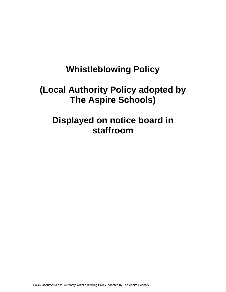# **Whistleblowing Policy**

# **(Local Authority Policy adopted by The Aspire Schools)**

# **Displayed on notice board in staffroom**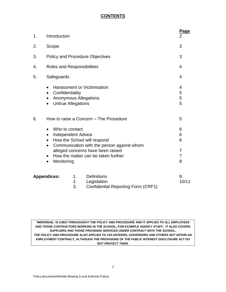# **CONTENTS**

| 1. | Introduction                                                                                                                                                                                                                          |                                                                                | Page<br>$\overline{2}$     |
|----|---------------------------------------------------------------------------------------------------------------------------------------------------------------------------------------------------------------------------------------|--------------------------------------------------------------------------------|----------------------------|
| 2. | Scope                                                                                                                                                                                                                                 |                                                                                | 3                          |
| 3. | <b>Policy and Procedure Objectives</b>                                                                                                                                                                                                |                                                                                | 3                          |
| 4. | Roles and Responsibilities                                                                                                                                                                                                            |                                                                                | 4                          |
| 5. | Safeguards                                                                                                                                                                                                                            |                                                                                | 4                          |
|    | <b>Harassment or Victimisation</b><br>Confidentiality<br>$\bullet$<br><b>Anonymous Allegations</b><br><b>Untrue Allegations</b><br>$\bullet$                                                                                          |                                                                                | 4<br>5<br>5<br>5           |
| 6. | How to raise a Concern – The Procedure                                                                                                                                                                                                |                                                                                | 5                          |
|    | Who to contact<br>$\bullet$<br><b>Independent Advice</b><br>How the School will respond<br>$\bullet$<br>$\bullet$<br>alleged concerns have been raised<br>How the matter can be taken further<br>$\bullet$<br>Monitoring<br>$\bullet$ | Communication with the person against whom                                     | 6<br>6<br>6<br>7<br>7<br>8 |
|    | <b>Appendices:</b><br>1.<br>2.<br>3.                                                                                                                                                                                                  | <b>Definitions</b><br>Legislation<br><b>Confidential Reporting Form (CRF1)</b> | 9<br>10/11                 |

**'INDIVIDUAL' IS USED THROUGHOUT THE POLICY AND PROCEDURE AND IT APPLIES TO ALL EMPLOYEES AND THOSE CONTRACTORS WORKING IN THE SCHOOL, FOR EXAMPLE AGENCY STAFF. IT ALSO COVERS SUPPLIERS AND THOSE PROVIDING SERVICES UNDER CONTRACT WITH THE SCHOOL.** *THE POLICY AND PROCEDURE ALSO APPLIES TO VOLUNTEERS, GOVERNORS AND OTHERS NOT WITHIN AN EMPLOYMENT CONTRACT, ALTHOUGH THE PROVISIONS OF THE PUBLIC INTEREST DISCLOSURE ACT DO NOT PROTECT THEM.*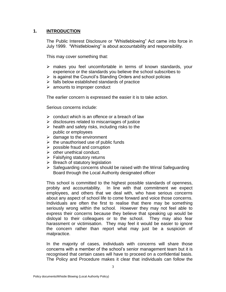## **1. INTRODUCTION**

The Public Interest Disclosure or "Whistleblowing" Act came into force in July 1999. "Whistleblowing" is about accountability and responsibility.

This may cover something that:

- $\triangleright$  makes you feel uncomfortable in terms of known standards, your experience or the standards you believe the school subscribes to
- $\triangleright$  is against the Council's Standing Orders and school policies
- $\triangleright$  falls below established standards of practice
- $\triangleright$  amounts to improper conduct

The earlier concern is expressed the easier it is to take action.

Serious concerns include:

- $\triangleright$  conduct which is an offence or a breach of law
- $\triangleright$  disclosures related to miscarriages of justice
- $\triangleright$  health and safety risks, including risks to the public or employees
- $\triangleright$  damage to the environment
- $\triangleright$  the unauthorised use of public funds
- $\triangleright$  possible fraud and corruption
- $\triangleright$  other unethical conduct.
- $\triangleright$  Falsifying statutory returns
- $\triangleright$  Breach of statutory legislation
- $\triangleright$  Safeguarding concerns should be raised with the Wirral Safeguarding Board through the Local Authority designated officer

This school is committed to the highest possible standards of openness, probity and accountability. In line with that commitment we expect employees, and others that we deal with, who have serious concerns about any aspect of school life to come forward and voice those concerns. Individuals are often the first to realise that there may be something seriously wrong within the school. However they may not feel able to express their concerns because they believe that speaking up would be disloyal to their colleagues or to the school. They may also fear harassment or victimisation. They may feel it would be easier to ignore the concern rather than report what may just be a suspicion of malpractice.

In the majority of cases, individuals with concerns will share those concerns with a member of the school's senior management team but it is recognised that certain cases will have to proceed on a confidential basis. The Policy and Procedure makes it clear that individuals can follow the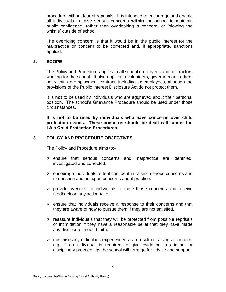procedure without fear of reprisals. It is intended to encourage and enable all individuals to raise serious concerns **within** the school to maintain public confidence, rather than overlooking a concern, or 'blowing the whistle' outside of school.

The overriding concern is that it would be in the public interest for the malpractice or concern to be corrected and, if appropriate, sanctions applied.

#### **2. SCOPE**

The Policy and Procedure applies to all school employees and contractors working for the school. It also applies to volunteers, governors and others not within an employment contract, including ex-employees, although the provisions of the Public Interest Disclosure Act do not protect them.

It is **not** to be used by individuals who are aggrieved about their personal position. The school's Grievance Procedure should be used under those circumstances.

**It is not to be used by individuals who have concerns over child protection issues. These concerns should be dealt with under the LA's Child Protection Procedures.**

## **3. POLICY AND PROCEDURE OBJECTIVES**

The Policy and Procedure aims to:-

- $\triangleright$  ensure that serious concerns and malpractice are identified, investigated and corrected.
- $\triangleright$  encourage individuals to feel confident in raising serious concerns and to question and act upon concerns about practice.
- $\triangleright$  provide avenues for individuals to raise those concerns and receive feedback on any action taken.
- $\triangleright$  ensure that individuals receive a response to their concerns and that they are aware of how to pursue them if they are not satisfied.
- $\triangleright$  reassure individuals that they will be protected from possible reprisals or intimidation if they have a reasonable belief that they have made any disclosure in good faith.
- $\triangleright$  minimise any difficulties experienced as a result of raising a concern, e.g. if an individual is required to give evidence in criminal or disciplinary proceedings the school will arrange for advice and support.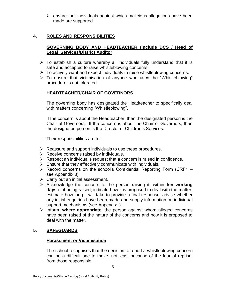$\triangleright$  ensure that individuals against which malicious allegations have been made are supported.

# **4. ROLES AND RESPONSIBILITIES**

# **GOVERNING BODY AND HEADTEACHER (include DCS / Head of Legal Services/District Auditor**

- $\triangleright$  To establish a culture whereby all individuals fully understand that it is safe and accepted to raise whistleblowing concerns.
- $\triangleright$  To actively want and expect individuals to raise whistleblowing concerns.
- $\triangleright$  To ensure that victimisation of anyone who uses the "Whistleblowing" procedure is not tolerated.

# **HEADTEACHER/CHAIR OF GOVERNORS**

The governing body has designated the Headteacher to specifically deal with matters concerning "Whistleblowing".

If the concern is about the Headteacher, then the designated person is the Chair of Governors. If the concern is about the Chair of Governors, then the designated person is the Director of Children's Services.

Their responsibilities are to:

- $\triangleright$  Reassure and support individuals to use these procedures.
- $\triangleright$  Receive concerns raised by individuals.
- $\triangleright$  Respect an individual's request that a concern is raised in confidence.
- $\triangleright$  Ensure that they effectively communicate with individuals.
- $\triangleright$  Record concerns on the school's Confidential Reporting Form (CRF1 see Appendix 3).
- $\triangleright$  Carry out an initial assessment.
- Acknowledge the concern to the person raising it, within **ten working days** of it being raised; indicate how it is proposed to deal with the matter; estimate how long it will take to provide a final response; advise whether any initial enquiries have been made and supply information on individual support mechanisms (see Appendix )
- Inform, **where appropriate**, the person against whom alleged concerns have been raised of the nature of the concerns and how it is proposed to deal with the matter.

# **5. SAFEGUARDS**

# **Harassment or Victimisation**

The school recognises that the decision to report a whistleblowing concern can be a difficult one to make, not least because of the fear of reprisal from those responsible.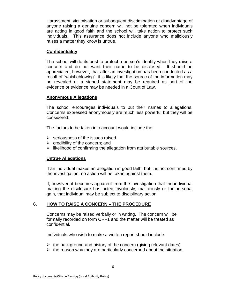Harassment, victimisation or subsequent discrimination or disadvantage of anyone raising a genuine concern will not be tolerated when individuals are acting in good faith and the school will take action to protect such individuals. This assurance does not include anyone who maliciously raises a matter they know is untrue.

#### **Confidentiality**

The school will do its best to protect a person's identity when they raise a concern and do not want their name to be disclosed. It should be appreciated, however, that after an investigation has been conducted as a result of "whistleblowing", it is likely that the source of the information may be revealed or a signed statement may be required as part of the evidence or evidence may be needed in a Court of Law.

## **Anonymous Allegations**

The school encourages individuals to put their names to allegations. Concerns expressed anonymously are much less powerful but they will be considered.

The factors to be taken into account would include the:

- $\triangleright$  seriousness of the issues raised
- $\triangleright$  credibility of the concern; and
- $\triangleright$  likelihood of confirming the allegation from attributable sources.

#### **Untrue Allegations**

If an individual makes an allegation in good faith, but it is not confirmed by the investigation, no action will be taken against them.

If, however, it becomes apparent from the investigation that the individual making the disclosure has acted frivolously, maliciously or for personal gain, that individual may be subject to disciplinary action.

# **6. HOW TO RAISE A CONCERN – THE PROCEDURE**

Concerns may be raised verbally or in writing. The concern will be formally recorded on form CRF1 and the matter will be treated as confidential.

Individuals who wish to make a written report should include:

- $\triangleright$  the background and history of the concern (giving relevant dates)
- $\triangleright$  the reason why they are particularly concerned about the situation.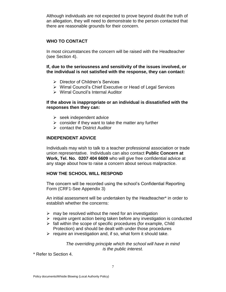Although individuals are not expected to prove beyond doubt the truth of an allegation, they will need to demonstrate to the person contacted that there are reasonable grounds for their concern.

## **WHO TO CONTACT**

In most circumstances the concern will be raised with the Headteacher (see Section 4).

**If, due to the seriousness and sensitivity of the issues involved, or the individual is not satisfied with the response, they can contact:**

- Director of Children's Services
- Wirral Council's Chief Executive or Head of Legal Services
- Wirral Council's Internal Auditor

#### **If the above is inappropriate or an individual is dissatisfied with the responses then they can:**

- $\triangleright$  seek independent advice
- $\triangleright$  consider if they want to take the matter any further
- $\triangleright$  contact the District Auditor

#### **INDEPENDENT ADVICE**

Individuals may wish to talk to a teacher professional association or trade union representative. Individuals can also contact **Public Concern at Work, Tel. No. 0207 404 6609** who will give free confidential advice at any stage about how to raise a concern about serious malpractice.

#### **HOW THE SCHOOL WILL RESPOND**

The concern will be recorded using the school's Confidential Reporting Form (CRF1-See Appendix 3)

An initial assessment will be undertaken by the Headteacher\* in order to establish whether the concerns:

- $\triangleright$  may be resolved without the need for an investigation
- $\triangleright$  require urgent action being taken before any investigation is conducted
- $\triangleright$  fall within the scope of specific procedures (for example, Child Protection) and should be dealt with under those procedures
- $\triangleright$  require an investigation and, if so, what form it should take.

*The overriding principle which the school will have in mind is the public interest.*

\* Refer to Section 4.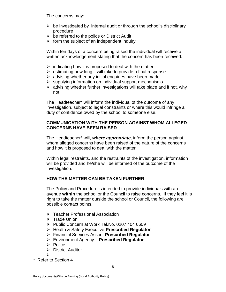The concerns may:

- $\triangleright$  be investigated by internal audit or through the school's disciplinary procedure
- $\triangleright$  be referred to the police or District Audit
- $\triangleright$  form the subject of an independent inquiry.

Within ten days of a concern being raised the individual will receive a written acknowledgement stating that the concern has been received:

- $\triangleright$  indicating how it is proposed to deal with the matter
- $\triangleright$  estimating how long it will take to provide a final response
- $\triangleright$  advising whether any initial enquiries have been made
- $\triangleright$  supplying information on individual support mechanisms
- $\triangleright$  advising whether further investigations will take place and if not, why not.

The Headteacher\* will inform the individual of the outcome of any investigation, subject to legal constraints or where this would infringe a duty of confidence owed by the school to someone else.

## **COMMUNICATION WITH THE PERSON AGAINST WHOM ALLEGED CONCERNS HAVE BEEN RAISED**

The Headteacher\* will, *where appropriate,* inform the person against whom alleged concerns have been raised of the nature of the concerns and how it is proposed to deal with the matter.

Within legal restraints, and the restraints of the investigation, information will be provided and he/she will be informed of the outcome of the investigation.

# **HOW THE MATTER CAN BE TAKEN FURTHER**

The Policy and Procedure is intended to provide individuals with an avenue **within** the school or the Council to raise concerns. If they feel it is right to take the matter outside the school or Council, the following are possible contact points.

- ▶ Teacher Professional Association
- $\triangleright$  Trade Union
- $\triangleright$  Public Concern at Work Tel.No. 0207 404 6609
- Health & Safety Executive-**Prescribed Regulator**
- Financial Services Assoc.-**Prescribed Regulator**
- Environment Agency **Prescribed Regulator**
- $\triangleright$  Police
- $\triangleright$  District Auditor
- $\blacktriangleright$
- \* Refer to Section 4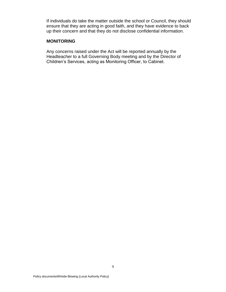If individuals do take the matter outside the school or Council, they should ensure that they are acting in good faith, and they have evidence to back up their concern and that they do not disclose confidential information.

#### **MONITORING**

Any concerns raised under the Act will be reported annually by the Headteacher to a full Governing Body meeting and by the Director of Children's Services, acting as Monitoring Officer, to Cabinet.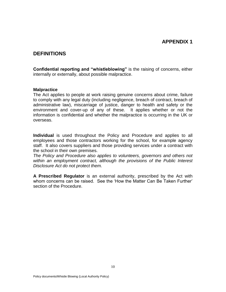# **APPENDIX 1**

# **DEFINITIONS**

**Confidential reporting and "whistleblowing"** is the raising of concerns, either internally or externally, about possible malpractice.

#### **Malpractice**

The Act applies to people at work raising genuine concerns about crime, failure to comply with any legal duty (including negligence, breach of contract, breach of administrative law), miscarriage of justice, danger to health and safety or the environment and cover-up of any of these. It applies whether or not the information is confidential and whether the malpractice is occurring in the UK or overseas.

**Individual** is used throughout the Policy and Procedure and applies to all employees and those contractors working for the school, for example agency staff. It also covers suppliers and those providing services under a contract with the school in their own premises.

*The Policy and Procedure also applies to volunteers, governors and others not within an employment contract, although the provisions of the Public Interest Disclosure Act do not protect them.*

**A Prescribed Regulator** is an external authority, prescribed by the Act with whom concerns can be raised. See the 'How the Matter Can Be Taken Further' section of the Procedure.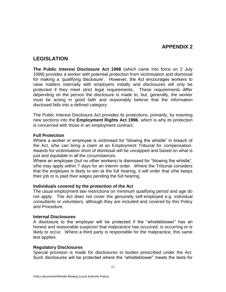# **APPENDIX 2**

# **LEGISLATION**

**The Public Interest Disclosure Act 1998** (which came into force on 2 July 1999) provides a worker with potential protection from victimisation and dismissal for making a 'qualifying disclosure'. However, the Act encourages workers to raise matters internally with employers initially and disclosures will only be protected if they meet strict legal requirements. These requirements differ depending on the person the disclosure is made to, but, generally, the worker must be acting in good faith and reasonably believe that the information disclosed falls into a defined category.

The Public Interest Disclosure Act provides its protections, primarily, by inserting new sections into the **Employment Rights Act 1996**, which is why its protection is concerned with those in an employment contract.

#### **Full Protection**

Where a worker or employee is victimised for "blowing the whistle" in breach of the Act, s/he can bring a claim at an Employment Tribunal for compensation. Awards for victimisation short of dismissal will be uncapped and based on what is just and equitable in all the circumstances.

Where an employee (but no other workers) is dismissed for "blowing the whistle", s/he may apply within 7 days for an interim order. Where the Tribunal considers that the employee is likely to win at the full hearing, it will order that s/he keeps their job or is paid their wages pending the full hearing.

#### **Individuals covered by the protection of the Act**

The usual employment law restrictions on minimum qualifying period and age do not apply. The Act does not cover the genuinely self-employed e.g. individual consultants or volunteers, although they are included and covered by this Policy and Procedure.

#### **Internal Disclosures**

A disclosure to the employer will be protected if the "whistleblower" has an honest and reasonable suspicion that malpractice has occurred, is occurring or is likely to occur. Where a third party is responsible for the malpractice, this same test applies.

#### **Regulatory Disclosures**

Special provision is made for disclosures to bodies prescribed under the Act. Such disclosures will be protected where the "whistleblower" meets the tests for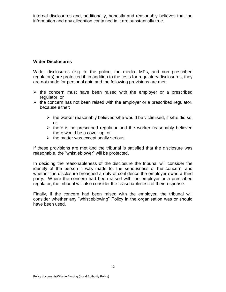internal disclosures and, additionally, honestly and reasonably believes that the information and any allegation contained in it are substantially true.

#### **Wider Disclosures**

Wider disclosures (e.g. to the police, the media, MPs, and non prescribed regulators) are protected if, in addition to the tests for regulatory disclosures, they are not made for personal gain and the following provisions are met:

- $\triangleright$  the concern must have been raised with the employer or a prescribed regulator, or
- $\triangleright$  the concern has not been raised with the employer or a prescribed regulator, because either:
	- $\triangleright$  the worker reasonably believed s/he would be victimised, if s/he did so, or
	- $\triangleright$  there is no prescribed regulator and the worker reasonably believed there would be a cover-up, or
	- $\triangleright$  the matter was exceptionally serious.

If these provisions are met and the tribunal is satisfied that the disclosure was reasonable, the "whistleblower" will be protected.

In deciding the reasonableness of the disclosure the tribunal will consider the identity of the person it was made to, the seriousness of the concern, and whether the disclosure breached a duty of confidence the employer owed a third party. Where the concern had been raised with the employer or a prescribed regulator, the tribunal will also consider the reasonableness of their response.

Finally, if the concern had been raised with the employer, the tribunal will consider whether any "whistleblowing" Policy in the organisation was or should have been used.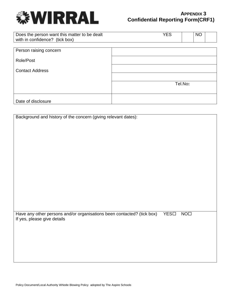

# **APPENDIX 3 Confidential Reporting Form(CRF1)**

| Does the person want this matter to be dealt<br>with in confidence? (tick box) | <b>YES</b> | <b>NO</b> |  |
|--------------------------------------------------------------------------------|------------|-----------|--|
| Person raising concern                                                         |            |           |  |
| Role/Post                                                                      |            |           |  |
| <b>Contact Address</b>                                                         |            |           |  |
|                                                                                |            |           |  |
|                                                                                |            | Tel.No:   |  |
| Date of disclosure                                                             |            |           |  |

| Background and history of the concern (giving relevant dates):                         |                 |
|----------------------------------------------------------------------------------------|-----------------|
|                                                                                        |                 |
|                                                                                        |                 |
|                                                                                        |                 |
|                                                                                        |                 |
|                                                                                        |                 |
|                                                                                        |                 |
|                                                                                        |                 |
|                                                                                        |                 |
|                                                                                        |                 |
|                                                                                        |                 |
|                                                                                        |                 |
|                                                                                        |                 |
|                                                                                        |                 |
|                                                                                        |                 |
|                                                                                        |                 |
|                                                                                        |                 |
|                                                                                        |                 |
|                                                                                        |                 |
|                                                                                        |                 |
|                                                                                        |                 |
|                                                                                        |                 |
|                                                                                        |                 |
| Have any other persons and/or organisations been contacted? (tick box)<br>$YES\square$ | NO <sub>1</sub> |
|                                                                                        |                 |
| If yes, please give details                                                            |                 |
|                                                                                        |                 |
|                                                                                        |                 |
|                                                                                        |                 |
|                                                                                        |                 |
|                                                                                        |                 |
|                                                                                        |                 |
|                                                                                        |                 |
|                                                                                        |                 |
|                                                                                        |                 |
|                                                                                        |                 |